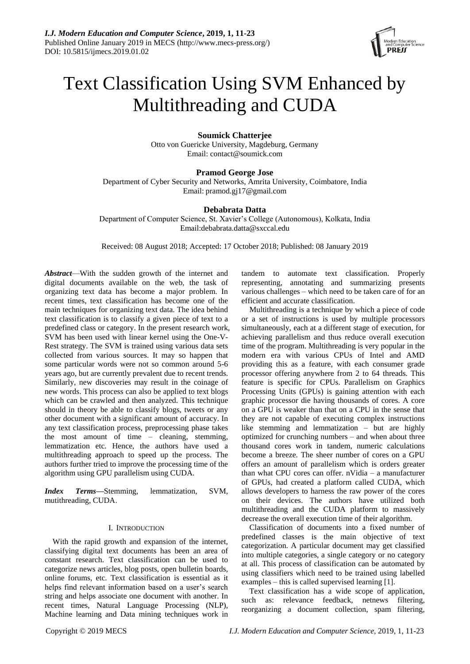

# Text Classification Using SVM Enhanced by Multithreading and CUDA

**Soumick Chatterjee**

Otto von Guericke University, Magdeburg, Germany Email: contact@soumick.com

# **Pramod George Jose**

Department of Cyber Security and Networks, Amrita University, Coimbatore, India Email: pramod.gj17@gmail.com

# **Debabrata Datta**

Department of Computer Science, St. Xavier's College (Autonomous), Kolkata, India Email:debabrata.datta@sxccal.edu

Received: 08 August 2018; Accepted: 17 October 2018; Published: 08 January 2019

*Abstract*—With the sudden growth of the internet and digital documents available on the web, the task of organizing text data has become a major problem. In recent times, text classification has become one of the main techniques for organizing text data. The idea behind text classification is to classify a given piece of text to a predefined class or category. In the present research work, SVM has been used with linear kernel using the One-V-Rest strategy. The SVM is trained using various data sets collected from various sources. It may so happen that some particular words were not so common around 5-6 years ago, but are currently prevalent due to recent trends. Similarly, new discoveries may result in the coinage of new words. This process can also be applied to text blogs which can be crawled and then analyzed. This technique should in theory be able to classify blogs, tweets or any other document with a significant amount of accuracy. In any text classification process, preprocessing phase takes the most amount of time – cleaning, stemming, lemmatization etc. Hence, the authors have used a multithreading approach to speed up the process. The authors further tried to improve the processing time of the algorithm using GPU parallelism using CUDA.

*Index Terms***—**Stemming, lemmatization, SVM, mutithreading, CUDA.

# I. INTRODUCTION

With the rapid growth and expansion of the internet, classifying digital text documents has been an area of constant research. Text classification can be used to categorize news articles, blog posts, open bulletin boards, online forums, etc. Text classification is essential as it helps find relevant information based on a user's search string and helps associate one document with another. In recent times, Natural Language Processing (NLP), Machine learning and Data mining techniques work in

tandem to automate text classification. Properly representing, annotating and summarizing presents various challenges – which need to be taken care of for an efficient and accurate classification.

Multithreading is a technique by which a piece of code or a set of instructions is used by multiple processors simultaneously, each at a different stage of execution, for achieving parallelism and thus reduce overall execution time of the program. Multithreading is very popular in the modern era with various CPUs of Intel and AMD providing this as a feature, with each consumer grade processor offering anywhere from 2 to 64 threads. This feature is specific for CPUs. Parallelism on Graphics Processing Units (GPUs) is gaining attention with each graphic processor die having thousands of cores. A core on a GPU is weaker than that on a CPU in the sense that they are not capable of executing complex instructions like stemming and lemmatization – but are highly optimized for crunching numbers – and when about three thousand cores work in tandem, numeric calculations become a breeze. The sheer number of cores on a GPU offers an amount of parallelism which is orders greater than what CPU cores can offer. nVidia – a manufacturer of GPUs, had created a platform called CUDA, which allows developers to harness the raw power of the cores on their devices. The authors have utilized both multithreading and the CUDA platform to massively decrease the overall execution time of their algorithm.

Classification of documents into a fixed number of predefined classes is the main objective of text categorization. A particular document may get classified into multiple categories, a single category or no category at all. This process of classification can be automated by using classifiers which need to be trained using labelled examples – this is called supervised learning [1].

Text classification has a wide scope of application, such as: relevance feedback, netnews filtering, reorganizing a document collection, spam filtering,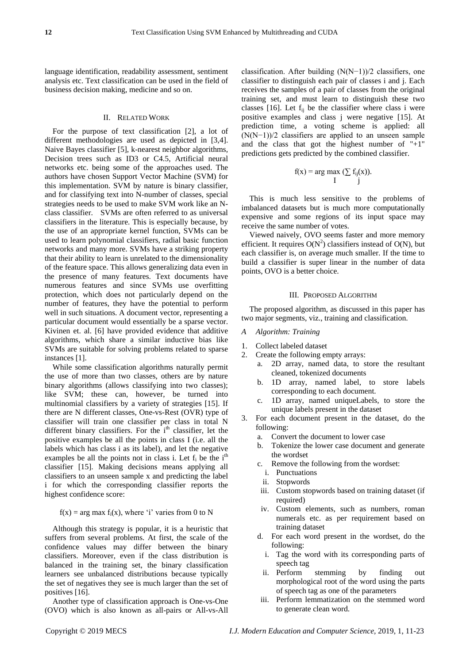language identification, readability assessment, sentiment analysis etc. Text classification can be used in the field of business decision making, medicine and so on.

#### II. RELATED WORK

For the purpose of text classification [2], a lot of different methodologies are used as depicted in [3,4]. Naive Bayes classifier [5], k-nearest neighbor algorithms, Decision trees such as ID3 or C4.5, Artificial neural networks etc. being some of the approaches used. The authors have chosen Support Vector Machine (SVM) for this implementation. SVM by nature is binary classifier, and for classifying text into N-number of classes, special strategies needs to be used to make SVM work like an Nclass classifier. SVMs are often referred to as universal classifiers in the literature. This is especially because, by the use of an appropriate kernel function, SVMs can be used to learn polynomial classifiers, radial basic function networks and many more. SVMs have a striking property that their ability to learn is unrelated to the dimensionality of the feature space. This allows generalizing data even in the presence of many features. Text documents have numerous features and since SVMs use overfitting protection, which does not particularly depend on the number of features, they have the potential to perform well in such situations. A document vector, representing a particular document would essentially be a sparse vector. Kivinen et. al. [6] have provided evidence that additive algorithms, which share a similar inductive bias like SVMs are suitable for solving problems related to sparse instances [1].

While some classification algorithms naturally permit the use of more than two classes, others are by nature binary algorithms (allows classifying into two classes); like SVM; these can, however, be turned into multinomial classifiers by a variety of strategies [15]. If there are N different classes, One-vs-Rest (OVR) type of classifier will train one classifier per class in total N different binary classifiers. For the i<sup>th</sup> classifier, let the positive examples be all the points in class I (i.e. all the labels which has class i as its label), and let the negative examples be all the points not in class i. Let  $f_i$  be the i<sup>th</sup> classifier [15]. Making decisions means applying all classifiers to an unseen sample x and predicting the label i for which the corresponding classifier reports the highest confidence score:

## $f(x) = arg max f_i(x)$ , where 'i' varies from 0 to N

Although this strategy is popular, it is a heuristic that suffers from several problems. At first, the scale of the confidence values may differ between the binary classifiers. Moreover, even if the class distribution is balanced in the training set, the binary classification learners see unbalanced distributions because typically the set of negatives they see is much larger than the set of positives [16].

Another type of classification approach is One-vs-One (OVO) which is also known as all-pairs or All-vs-All classification. After building (N(N−1))/2 classifiers, one classifier to distinguish each pair of classes i and j. Each receives the samples of a pair of classes from the original training set, and must learn to distinguish these two classes [16]. Let  $f_{ii}$  be the classifier where class i were positive examples and class j were negative [15]. At prediction time, a voting scheme is applied: all (N(N−1))/2 classifiers are applied to an unseen sample and the class that got the highest number of " $+1$ " predictions gets predicted by the combined classifier.

$$
f(x) = \arg \max I \quad (\sum j f_{ij}(x)).
$$

This is much less sensitive to the problems of imbalanced datasets but is much more computationally expensive and some regions of its input space may receive the same number of votes.

Viewed naively, OVO seems faster and more memory efficient. It requires  $O(N^2)$  classifiers instead of  $O(N)$ , but each classifier is, on average much smaller. If the time to build a classifier is super linear in the number of data points, OVO is a better choice.

#### III. PROPOSED ALGORITHM

The proposed algorithm, as discussed in this paper has two major segments, viz., training and classification.

- *A Algorithm: Training*
- 1. Collect labeled dataset
- 2. Create the following empty arrays:
	- a. 2D array, named data, to store the resultant cleaned, tokenized documents
	- b. 1D array, named label, to store labels corresponding to each document.
	- c. 1D array, named uniqueLabels, to store the unique labels present in the dataset
- 3. For each document present in the dataset, do the following:
	- a. Convert the document to lower case
	- b. Tokenize the lower case document and generate the wordset
	- c. Remove the following from the wordset:
	- i. Punctuations
	- ii. Stopwords
	- iii. Custom stopwords based on training dataset (if required)
	- iv. Custom elements, such as numbers, roman numerals etc. as per requirement based on training dataset
	- d. For each word present in the wordset, do the following:
		- i. Tag the word with its corresponding parts of speech tag
		- ii. Perform stemming by finding out morphological root of the word using the parts of speech tag as one of the parameters
	- iii. Perform lemmatization on the stemmed word to generate clean word.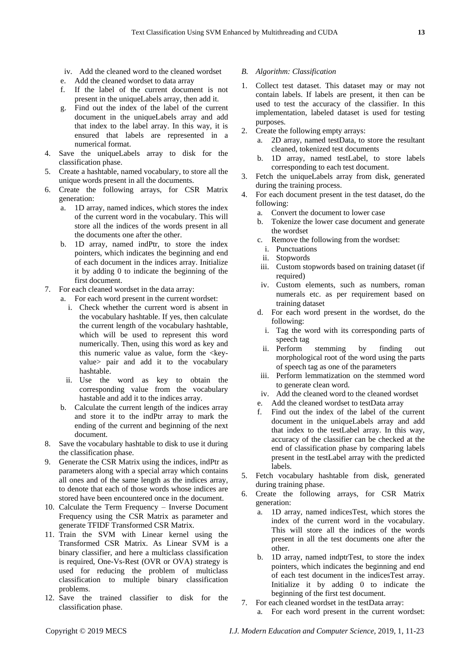- iv. Add the cleaned word to the cleaned wordset
- e. Add the cleaned wordset to data array
- f. If the label of the current document is not present in the uniqueLabels array, then add it.
- g. Find out the index of the label of the current document in the uniqueLabels array and add that index to the label array. In this way, it is ensured that labels are represented in a numerical format.
- 4. Save the uniqueLabels array to disk for the classification phase.
- 5. Create a hashtable, named vocabulary, to store all the unique words present in all the documents.
- 6. Create the following arrays, for CSR Matrix generation:
	- a. 1D array, named indices, which stores the index of the current word in the vocabulary. This will store all the indices of the words present in all the documents one after the other.
	- b. 1D array, named indPtr, to store the index pointers, which indicates the beginning and end of each document in the indices array. Initialize it by adding 0 to indicate the beginning of the first document.
- 7. For each cleaned wordset in the data array:
- a. For each word present in the current wordset:
	- i. Check whether the current word is absent in the vocabulary hashtable. If yes, then calculate the current length of the vocabulary hashtable, which will be used to represent this word numerically. Then, using this word as key and this numeric value as value, form the  $\langle key$ value> pair and add it to the vocabulary hashtable.
	- ii. Use the word as key to obtain the corresponding value from the vocabulary hastable and add it to the indices array.
	- b. Calculate the current length of the indices array and store it to the indPtr array to mark the ending of the current and beginning of the next document.
- 8. Save the vocabulary hashtable to disk to use it during the classification phase.
- 9. Generate the CSR Matrix using the indices, indPtr as parameters along with a special array which contains all ones and of the same length as the indices array, to denote that each of those words whose indices are stored have been encountered once in the document.
- 10. Calculate the Term Frequency Inverse Document Frequency using the CSR Matrix as parameter and generate TFIDF Transformed CSR Matrix.
- 11. Train the SVM with Linear kernel using the Transformed CSR Matrix. As Linear SVM is a binary classifier, and here a multiclass classification is required, One-Vs-Rest (OVR or OVA) strategy is used for reducing the problem of multiclass classification to multiple binary classification problems.
- 12. Save the trained classifier to disk for the classification phase.
- *B. Algorithm: Classification*
- 1. Collect test dataset. This dataset may or may not contain labels. If labels are present, it then can be used to test the accuracy of the classifier. In this implementation, labeled dataset is used for testing purposes.
- 2. Create the following empty arrays:
	- a. 2D array, named testData, to store the resultant cleaned, tokenized test documents
	- b. 1D array, named testLabel, to store labels corresponding to each test document.
- 3. Fetch the uniqueLabels array from disk, generated during the training process.
- 4. For each document present in the test dataset, do the following:
	- a. Convert the document to lower case
	- b. Tokenize the lower case document and generate the wordset
	- c. Remove the following from the wordset:
	- i. Punctuations
	- ii. Stopwords
	- iii. Custom stopwords based on training dataset (if required)
	- iv. Custom elements, such as numbers, roman numerals etc. as per requirement based on training dataset
	- d. For each word present in the wordset, do the following:
		- i. Tag the word with its corresponding parts of speech tag
		- ii. Perform stemming by finding out morphological root of the word using the parts of speech tag as one of the parameters
	- iii. Perform lemmatization on the stemmed word to generate clean word.
	- iv. Add the cleaned word to the cleaned wordset
	- e. Add the cleaned wordset to testData array
	- f. Find out the index of the label of the current document in the uniqueLabels array and add that index to the testLabel array. In this way, accuracy of the classifier can be checked at the end of classification phase by comparing labels present in the testLabel array with the predicted labels.
- 5. Fetch vocabulary hashtable from disk, generated during training phase.
- 6. Create the following arrays, for CSR Matrix generation:
	- a. 1D array, named indicesTest, which stores the index of the current word in the vocabulary. This will store all the indices of the words present in all the test documents one after the other.
	- b. 1D array, named indptrTest, to store the index pointers, which indicates the beginning and end of each test document in the indicesTest array. Initialize it by adding 0 to indicate the beginning of the first test document.
- 7. For each cleaned wordset in the testData array:
	- a. For each word present in the current wordset: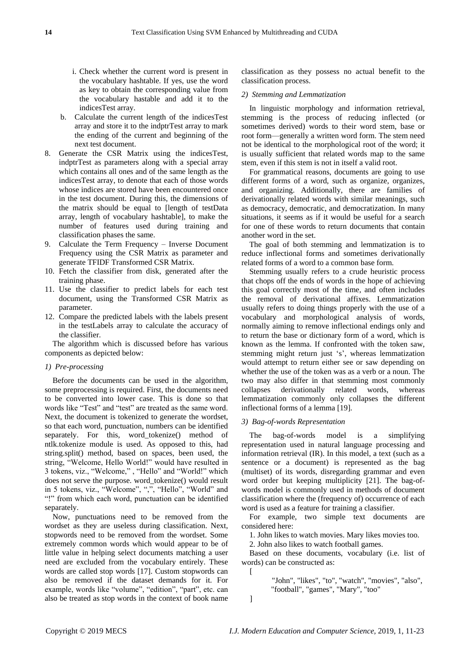- i. Check whether the current word is present in the vocabulary hashtable. If yes, use the word as key to obtain the corresponding value from the vocabulary hastable and add it to the indicesTest array.
- b. Calculate the current length of the indicesTest array and store it to the indptrTest array to mark the ending of the current and beginning of the next test document.
- 8. Generate the CSR Matrix using the indicesTest, indptrTest as parameters along with a special array which contains all ones and of the same length as the indicesTest array, to denote that each of those words whose indices are stored have been encountered once in the test document. During this, the dimensions of the matrix should be equal to [length of testData array, length of vocabulary hashtable], to make the number of features used during training and classification phases the same.
- 9. Calculate the Term Frequency Inverse Document Frequency using the CSR Matrix as parameter and generate TFIDF Transformed CSR Matrix.
- 10. Fetch the classifier from disk, generated after the training phase.
- 11. Use the classifier to predict labels for each test document, using the Transformed CSR Matrix as parameter.
- 12. Compare the predicted labels with the labels present in the testLabels array to calculate the accuracy of the classifier.

The algorithm which is discussed before has various components as depicted below:

# *1) Pre-processing*

Before the documents can be used in the algorithm, some preprocessing is required. First, the documents need to be converted into lower case. This is done so that words like "Test" and "test" are treated as the same word. Next, the document is tokenized to generate the wordset, so that each word, punctuation, numbers can be identified separately. For this, word\_tokenize() method of ntlk.tokenize module is used. As opposed to this, had string.split() method, based on spaces, been used, the string, "Welcome, Hello World!" would have resulted in 3 tokens, viz., "Welcome," , "Hello" and "World!" which does not serve the purpose. word\_tokenize() would result in 5 tokens, viz., "Welcome", ",", "Hello", "World" and "!" from which each word, punctuation can be identified separately.

Now, punctuations need to be removed from the wordset as they are useless during classification. Next, stopwords need to be removed from the wordset. Some extremely common words which would appear to be of little value in helping select documents matching a user need are excluded from the vocabulary entirely. These words are called stop words [17]. Custom stopwords can also be removed if the dataset demands for it. For example, words like "volume", "edition", "part", etc. can also be treated as stop words in the context of book name

classification as they possess no actual benefit to the classification process.

# *2) Stemming and Lemmatization*

In linguistic morphology and information retrieval, stemming is the process of reducing inflected (or sometimes derived) words to their word stem, base or root form—generally a written word form. The stem need not be identical to the morphological root of the word; it is usually sufficient that related words map to the same stem, even if this stem is not in itself a valid root.

For grammatical reasons, documents are going to use different forms of a word, such as organize, organizes, and organizing. Additionally, there are families of derivationally related words with similar meanings, such as democracy, democratic, and democratization. In many situations, it seems as if it would be useful for a search for one of these words to return documents that contain another word in the set.

The goal of both stemming and lemmatization is to reduce inflectional forms and sometimes derivationally related forms of a word to a common base form.

Stemming usually refers to a crude heuristic process that chops off the ends of words in the hope of achieving this goal correctly most of the time, and often includes the removal of derivational affixes. Lemmatization usually refers to doing things properly with the use of a vocabulary and morphological analysis of words, normally aiming to remove inflectional endings only and to return the base or dictionary form of a word, which is known as the lemma. If confronted with the token saw, stemming might return just 's', whereas lemmatization would attempt to return either see or saw depending on whether the use of the token was as a verb or a noun. The two may also differ in that stemming most commonly collapses derivationally related words, whereas lemmatization commonly only collapses the different inflectional forms of a lemma [19].

#### *3) Bag-of-words Representation*

The bag-of-words model is a simplifying representation used in natural language processing and information retrieval (IR). In this model, a text (such as a sentence or a document) is represented as the bag (multiset) of its words, disregarding grammar and even word order but keeping multiplicity [21]. The bag-ofwords model is commonly used in methods of document classification where the (frequency of) occurrence of each word is used as a feature for training a classifier.

For example, two simple text documents are considered here:

1. John likes to watch movies. Mary likes movies too.

2. John also likes to watch football games.

]

Based on these documents, vocabulary (i.e. list of words) can be constructed as:  $\lceil$ 

 "John", "likes", "to", "watch", "movies", "also", "football", "games", "Mary", "too"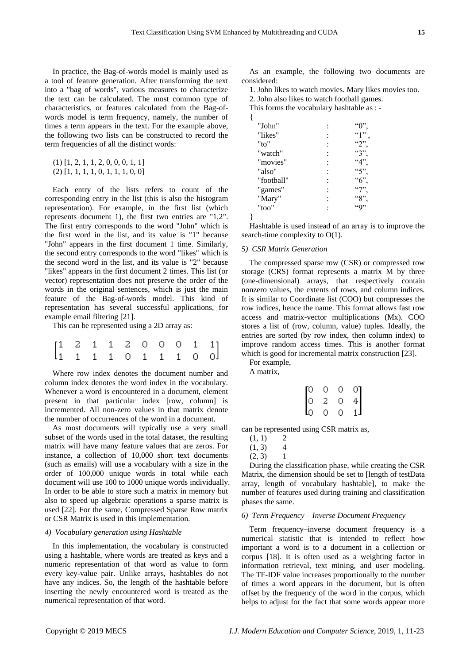{

}

In practice, the Bag-of-words model is mainly used as a tool of feature generation. After transforming the text into a "bag of words", various measures to characterize the text can be calculated. The most common type of characteristics, or features calculated from the Bag-ofwords model is term frequency, namely, the number of times a term appears in the text. For the example above, the following two lists can be constructed to record the term frequencies of all the distinct words:

(1) [1, 2, 1, 1, 2, 0, 0, 0, 1, 1] (2) [1, 1, 1, 1, 0, 1, 1, 1, 0, 0]

Each entry of the lists refers to count of the corresponding entry in the list (this is also the histogram representation). For example, in the first list (which represents document 1), the first two entries are "1,2". The first entry corresponds to the word "John" which is the first word in the list, and its value is "1" because "John" appears in the first document 1 time. Similarly, the second entry corresponds to the word "likes" which is the second word in the list, and its value is "2" because "likes" appears in the first document 2 times. This list (or vector) representation does not preserve the order of the words in the original sentences, which is just the main feature of the Bag-of-words model. This kind of representation has several successful applications, for example email filtering [21].

This can be represented using a 2D array as:

|  |  |  |  | $\begin{bmatrix} 1 & 2 & 1 & 1 & 2 & 0 & 0 & 0 & 1 & 1 \\ 1 & 1 & 1 & 1 & 0 & 1 & 1 & 1 & 0 & 0 \end{bmatrix}$ |
|--|--|--|--|----------------------------------------------------------------------------------------------------------------|
|  |  |  |  |                                                                                                                |

Where row index denotes the document number and column index denotes the word index in the vocabulary. Whenever a word is encountered in a document, element present in that particular index [row, column] is incremented. All non-zero values in that matrix denote the number of occurrences of the word in a document.

As most documents will typically use a very small subset of the words used in the total dataset, the resulting matrix will have many feature values that are zeros. For instance, a collection of 10,000 short text documents (such as emails) will use a vocabulary with a size in the order of 100,000 unique words in total while each document will use 100 to 1000 unique words individually. In order to be able to store such a matrix in memory but also to speed up algebraic operations a sparse matrix is used [22]. For the same, Compressed Sparse Row matrix or CSR Matrix is used in this implementation.

#### *4) Vocabulary generation using Hashtable*

In this implementation, the vocabulary is constructed using a hashtable, where words are treated as keys and a numeric representation of that word as value to form every key-value pair. Unlike arrays, hashtables do not have any indices. So, the length of the hashtable before inserting the newly encountered word is treated as the numerical representation of that word.

As an example, the following two documents are considered:

1. John likes to watch movies. Mary likes movies too.

2. John also likes to watch football games.

This forms the vocabulary hashtable as : -

| "John"     | "0"  |
|------------|------|
| "likes"    | "1"  |
| "to"       | "2", |
| "watch"    | "3"  |
| "movies"   | "4"  |
| "also"     | 5"   |
| "football" | "6"  |
| "games"    | "7". |
| "Mary"     | "8"  |
| "too"      | «q»  |
|            |      |

Hashtable is used instead of an array is to improve the search-time complexity to O(1).

## *5) CSR Matrix Generation*

The compressed sparse row (CSR) or compressed row storage (CRS) format represents a matrix M by three (one-dimensional) arrays, that respectively contain nonzero values, the extents of rows, and column indices. It is similar to Coordinate list (COO) but compresses the row indices, hence the name. This format allows fast row access and matrix-vector multiplications (Mx). COO stores a list of (row, column, value) tuples. Ideally, the entries are sorted (by row index, then column index) to improve random access times. This is another format which is good for incremental matrix construction [23].

For example,

A matrix,

|                                             | 0 | 0 |                                             |
|---------------------------------------------|---|---|---------------------------------------------|
| $\begin{bmatrix} 0 \\ 0 \\ 0 \end{bmatrix}$ | 2 | 0 | $\begin{bmatrix} 0 \\ 4 \\ 1 \end{bmatrix}$ |
|                                             | 0 | 0 |                                             |

can be represented using CSR matrix as,

- $(1, 1)$  2
- $(1, 3)$  4

 $(2, 3)$  1

During the classification phase, while creating the CSR Matrix, the dimension should be set to [length of testData array, length of vocabulary hashtable], to make the number of features used during training and classification phases the same.

## *6) Term Frequency – Inverse Document Frequency*

Term frequency–inverse document frequency is a numerical statistic that is intended to reflect how important a word is to a document in a collection or corpus [18]. It is often used as a weighting factor in information retrieval, text mining, and user modeling. The TF-IDF value increases proportionally to the number of times a word appears in the document, but is often offset by the frequency of the word in the corpus, which helps to adjust for the fact that some words appear more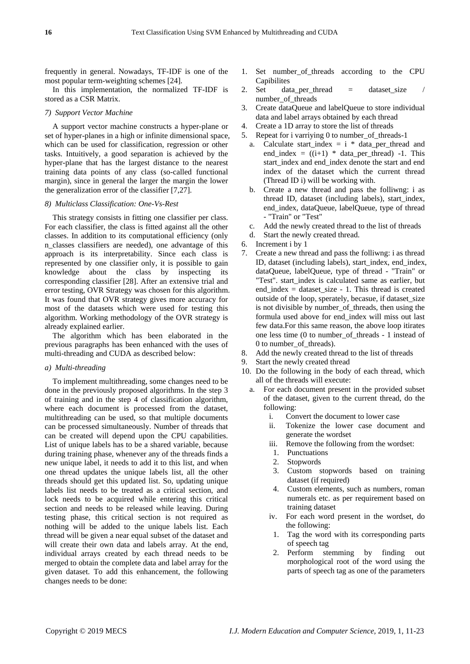frequently in general. Nowadays, TF-IDF is one of the most popular term-weighting schemes [24].

In this implementation, the normalized TF-IDF is stored as a CSR Matrix.

# *7) Support Vector Machine*

A support vector machine constructs a hyper-plane or set of hyper-planes in a high or infinite dimensional space, which can be used for classification, regression or other tasks. Intuitively, a good separation is achieved by the hyper-plane that has the largest distance to the nearest training data points of any class (so-called functional margin), since in general the larger the margin the lower the generalization error of the classifier [7,27].

## *8) Multiclass Classification: One-Vs-Rest*

This strategy consists in fitting one classifier per class. For each classifier, the class is fitted against all the other classes. In addition to its computational efficiency (only n\_classes classifiers are needed), one advantage of this approach is its interpretability. Since each class is represented by one classifier only, it is possible to gain knowledge about the class by inspecting its corresponding classifier [28]. After an extensive trial and error testing, OVR Strategy was chosen for this algorithm. It was found that OVR strategy gives more accuracy for most of the datasets which were used for testing this algorithm. Working methodology of the OVR strategy is already explained earlier.

The algorithm which has been elaborated in the previous paragraphs has been enhanced with the uses of multi-threading and CUDA as described below:

## *a) Multi-threading*

To implement multithreading, some changes need to be done in the previously proposed algorithms. In the step 3 of training and in the step 4 of classification algorithm, where each document is processed from the dataset, multithreading can be used, so that multiple documents can be processed simultaneously. Number of threads that can be created will depend upon the CPU capabilities. List of unique labels has to be a shared variable, because during training phase, whenever any of the threads finds a new unique label, it needs to add it to this list, and when one thread updates the unique labels list, all the other threads should get this updated list. So, updating unique labels list needs to be treated as a critical section, and lock needs to be acquired while entering this critical section and needs to be released while leaving. During testing phase, this critical section is not required as nothing will be added to the unique labels list. Each thread will be given a near equal subset of the dataset and will create their own data and labels array. At the end, individual arrays created by each thread needs to be merged to obtain the complete data and label array for the given dataset. To add this enhancement, the following changes needs to be done:

- 1. Set number\_of\_threads according to the CPU Capibilites
- 2. Set data per thread  $=$  dataset size / number of threads
- 3. Create dataQueue and labelQueue to store individual data and label arrays obtained by each thread
- 4. Create a 1D array to store the list of threads
- 5. Repeat for i varriying 0 to number of threads-1
	- a. Calculate start\_index =  $i * data\_per\_thread$  and end\_index =  $((i+1) * data\_per\_thread) -1$ . This start index and end\_index denote the start and end index of the dataset which the current thread (Thread ID i) will be working with.
	- b. Create a new thread and pass the folliwng: i as thread ID, dataset (including labels), start\_index, end\_index, dataQueue, labelQueue, type of thread - "Train" or "Test"
	- c. Add the newly created thread to the list of threads
	- d. Start the newly created thread.
- 6. Increment i by 1
- 7. Create a new thread and pass the folliwng: i as thread ID, dataset (including labels), start\_index, end\_index, dataQueue, labelQueue, type of thread - "Train" or "Test". start\_index is calculated same as earlier, but end index  $=$  dataset size  $- 1$ . This thread is created outside of the loop, sperately, becasue, if dataset\_size is not divisible by number of threads, then using the formula used above for end\_index will miss out last few data.For this same reason, the above loop itirates one less time (0 to number\_of\_threads - 1 instead of 0 to number\_of\_threads).
- 8. Add the newly created thread to the list of threads
- 9. Start the newly created thread
- 10. Do the following in the body of each thread, which all of the threads will execute:
	- a. For each document present in the provided subset of the dataset, given to the current thread, do the following:
		- i. Convert the document to lower case
		- ii. Tokenize the lower case document and generate the wordset
		- iii. Remove the following from the wordset:
		- 1. Punctuations
		- 2. Stopwords
		- 3. Custom stopwords based on training dataset (if required)
		- 4. Custom elements, such as numbers, roman numerals etc. as per requirement based on training dataset
		- iv. For each word present in the wordset, do the following:
		- 1. Tag the word with its corresponding parts of speech tag
		- 2. Perform stemming by finding out morphological root of the word using the parts of speech tag as one of the parameters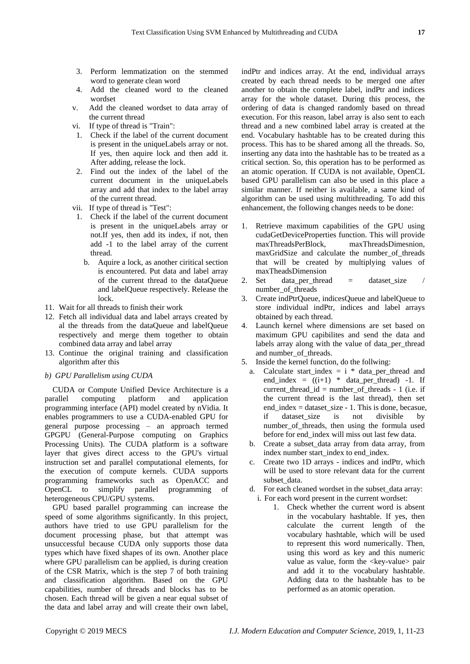- 3. Perform lemmatization on the stemmed word to generate clean word
- 4. Add the cleaned word to the cleaned wordset
- v. Add the cleaned wordset to data array of the current thread
- vi. If type of thread is "Train":
- 1. Check if the label of the current document is present in the uniqueLabels array or not. If yes, then aquire lock and then add it. After adding, release the lock.
- 2. Find out the index of the label of the current document in the uniqueLabels array and add that index to the label array of the current thread.
- vii. If type of thread is "Test":
- 1. Check if the label of the current document is present in the uniqueLabels array or not.If yes, then add its index, if not, then add -1 to the label array of the current thread.
	- b. Aquire a lock, as another ciritical section is encountered. Put data and label array of the current thread to the dataQueue and labelQueue respectively. Release the lock.
- 11. Wait for all threads to finish their work
- 12. Fetch all individual data and label arrays created by al the threads from the dataQueue and labelQueue respectively and merge them together to obtain combined data array and label array
- 13. Continue the original training and classification algorithm after this
- *b) GPU Parallelism using CUDA*

CUDA or Compute Unified Device Architecture is a parallel computing platform and application programming interface (API) model created by nVidia. It enables programmers to use a CUDA-enabled GPU for general purpose processing – an approach termed GPGPU (General-Purpose computing on Graphics Processing Units). The CUDA platform is a software layer that gives direct access to the GPU's virtual instruction set and parallel computational elements, for the execution of compute kernels. CUDA supports programming frameworks such as OpenACC and OpenCL to simplify parallel programming of heterogeneous CPU/GPU systems.

GPU based parallel programming can increase the speed of some algorithms significantly. In this project, authors have tried to use GPU parallelism for the document processing phase, but that attempt was unsuccessful because CUDA only supports those data types which have fixed shapes of its own. Another place where GPU parallelism can be applied, is during creation of the CSR Matrix, which is the step 7 of both training and classification algorithm. Based on the GPU capabilities, number of threads and blocks has to be chosen. Each thread will be given a near equal subset of the data and label array and will create their own label,

indPtr and indices array. At the end, individual arrays created by each thread needs to be merged one after another to obtain the complete label, indPtr and indices array for the whole dataset. During this process, the ordering of data is changed randomly based on thread execution. For this reason, label array is also sent to each thread and a new combined label array is created at the end. Vocabulary hashtable has to be created during this process. This has to be shared among all the threads. So, inserting any data into the hashtable has to be treated as a critical section. So, this operation has to be performed as an atomic operation. If CUDA is not available, OpenCL based GPU parallelism can also be used in this place a similar manner. If neither is available, a same kind of algorithm can be used using multithreading. To add this enhancement, the following changes needs to be done:

- 1. Retrieve maximum capabilities of the GPU using cudaGetDeviceProperties function. This will provide maxThreadsPerBlock, maxThreadsDimesnion, maxGridSize and calculate the number\_of\_threads that will be created by multiplying values of maxTheadsDimension
- 2. Set data\_per\_thread  $=$  dataset\_size number of threads
- 3. Create indPtrQueue, indicesQueue and labelQueue to store individual indPtr, indices and label arrays obtained by each thread.
- 4. Launch kernel where dimensions are set based on maximum GPU capibilites and send the data and labels array along with the value of data\_per\_thread and number\_of\_threads.
- 5. Inside the kernel function, do the follwing:
	- a. Calculate start\_index =  $i * data\_per\_thread$  and end\_index =  $((i+1) * data per_{thread}) -1$ . If current thread  $id$  = number of threads - 1 (i.e. if the current thread is the last thread), then set end index = dataset size - 1. This is done, becasue, if dataset size is not divisible by number\_of\_threads, then using the formula used before for end\_index will miss out last few data.
	- b. Create a subset\_data array from data array, from index number start\_index to end\_index.
	- c. Create two 1D arrays indices and indPtr, which will be used to store relevant data for the current subset\_data.
	- d. For each cleaned wordset in the subset\_data array:
	- i. For each word present in the current wordset:
		- 1. Check whether the current word is absent in the vocabulary hashtable. If yes, then calculate the current length of the vocabulary hashtable, which will be used to represent this word numerically. Then, using this word as key and this numeric value as value, form the  $\langle key \text{-}value \rangle$  pair and add it to the vocabulary hashtable. Adding data to the hashtable has to be performed as an atomic operation.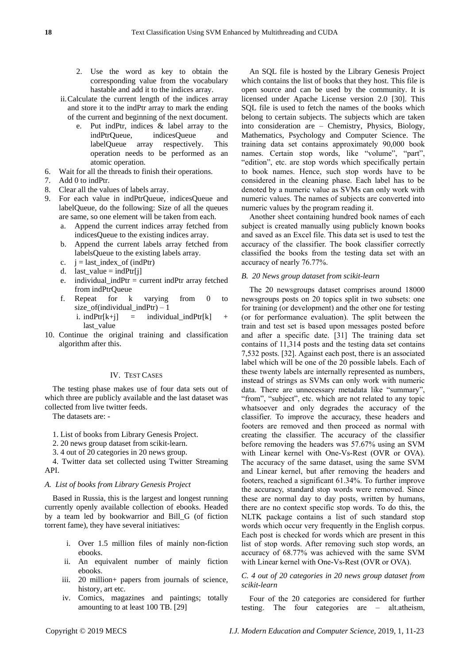- 2. Use the word as key to obtain the corresponding value from the vocabulary hastable and add it to the indices array.
- ii.Calculate the current length of the indices array and store it to the indPtr array to mark the ending of the current and beginning of the next document.
	- e. Put indPtr, indices & label array to the indPtrQueue, indicesQueue and labelQueue array respectively. This operation needs to be performed as an atomic operation.
- 6. Wait for all the threads to finish their operations.
- 7. Add 0 to indPtr.
- 8. Clear all the values of labels array.
- 9. For each value in indPtrQueue, indicesQueue and labelQueue, do the following: Size of all the queues are same, so one element will be taken from each.
	- a. Append the current indices array fetched from indicesQueue to the existing indices array.
	- b. Append the current labels array fetched from labelsQueue to the existing labels array.
	- c.  $j =$  last\_index\_of (indPtr)
	- d. last\_value =  $indPtr[i]$
	- e. individual\_indPtr = current indPtr array fetched from indPtrQueue
	- f. Repeat for k varying from 0 to size of(individual indPtr) – 1
		- i. indPtr[k+j] = individual indPtr[k] + last value
- 10. Continue the original training and classification algorithm after this.

#### IV. TEST CASES

The testing phase makes use of four data sets out of which three are publicly available and the last dataset was collected from live twitter feeds.

The datasets are: -

- 1. List of books from Library Genesis Project.
- 2. 20 news group dataset from scikit-learn.
- 3. 4 out of 20 categories in 20 news group.

4. Twitter data set collected using Twitter Streaming API.

## *A. List of books from Library Genesis Project*

Based in Russia, this is the largest and longest running currently openly available collection of ebooks. Headed by a team led by bookwarrior and Bill\_G (of fiction torrent fame), they have several initiatives:

- i. Over 1.5 million files of mainly non-fiction ebooks.
- ii. An equivalent number of mainly fiction ebooks.
- iii. 20 million+ papers from journals of science, history, art etc.
- iv. Comics, magazines and paintings; totally amounting to at least 100 TB. [29]

An SQL file is hosted by the Library Genesis Project which contains the list of books that they host. This file is open source and can be used by the community. It is licensed under Apache License version 2.0 [30]. This SQL file is used to fetch the names of the books which belong to certain subjects. The subjects which are taken into consideration are – Chemistry, Physics, Biology, Mathematics, Psychology and Computer Science. The training data set contains approximately 90,000 book names. Certain stop words, like "volume", "part", "edition", etc. are stop words which specifically pertain to book names. Hence, such stop words have to be considered in the cleaning phase. Each label has to be denoted by a numeric value as SVMs can only work with numeric values. The names of subjects are converted into numeric values by the program reading it.

Another sheet containing hundred book names of each subject is created manually using publicly known books and saved as an Excel file. This data set is used to test the accuracy of the classifier. The book classifier correctly classified the books from the testing data set with an accuracy of nearly 76.77%.

# *B. 20 News group dataset from scikit-learn*

The 20 newsgroups dataset comprises around 18000 newsgroups posts on 20 topics split in two subsets: one for training (or development) and the other one for testing (or for performance evaluation). The split between the train and test set is based upon messages posted before and after a specific date. [31] The training data set contains of 11,314 posts and the testing data set contains 7,532 posts. [32]. Against each post, there is an associated label which will be one of the 20 possible labels. Each of these twenty labels are internally represented as numbers, instead of strings as SVMs can only work with numeric data. There are unnecessary metadata like "summary", "from", "subject", etc. which are not related to any topic whatsoever and only degrades the accuracy of the classifier. To improve the accuracy, these headers and footers are removed and then proceed as normal with creating the classifier. The accuracy of the classifier before removing the headers was 57.67% using an SVM with Linear kernel with One-Vs-Rest (OVR or OVA). The accuracy of the same dataset, using the same SVM and Linear kernel, but after removing the headers and footers, reached a significant 61.34%. To further improve the accuracy, standard stop words were removed. Since these are normal day to day posts, written by humans, there are no context specific stop words. To do this, the NLTK package contains a list of such standard stop words which occur very frequently in the English corpus. Each post is checked for words which are present in this list of stop words. After removing such stop words, an accuracy of 68.77% was achieved with the same SVM with Linear kernel with One-Vs-Rest (OVR or OVA).

# *C. 4 out of 20 categories in 20 news group dataset from scikit-learn*

Four of the 20 categories are considered for further testing. The four categories are – alt.atheism,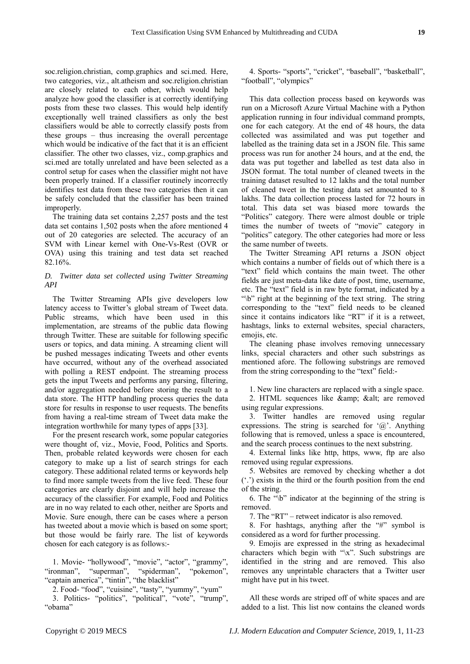soc.religion.christian, comp.graphics and sci.med. Here, two categories, viz., alt.atheism and soc.religion.christian are closely related to each other, which would help analyze how good the classifier is at correctly identifying posts from these two classes. This would help identify exceptionally well trained classifiers as only the best classifiers would be able to correctly classify posts from these groups – thus increasing the overall percentage which would be indicative of the fact that it is an efficient classifier. The other two classes, viz., comp.graphics and sci.med are totally unrelated and have been selected as a control setup for cases when the classifier might not have been properly trained. If a classifier routinely incorrectly identifies test data from these two categories then it can be safely concluded that the classifier has been trained improperly.

The training data set contains 2,257 posts and the test data set contains 1,502 posts when the afore mentioned 4 out of 20 categories are selected. The accuracy of an SVM with Linear kernel with One-Vs-Rest (OVR or OVA) using this training and test data set reached 82.16%.

# *D. Twitter data set collected using Twitter Streaming API*

The Twitter Streaming APIs give developers low latency access to Twitter's global stream of Tweet data. Public streams, which have been used in this implementation, are streams of the public data flowing through Twitter. These are suitable for following specific users or topics, and data mining. A streaming client will be pushed messages indicating Tweets and other events have occurred, without any of the overhead associated with polling a REST endpoint. The streaming process gets the input Tweets and performs any parsing, filtering, and/or aggregation needed before storing the result to a data store. The HTTP handling process queries the data store for results in response to user requests. The benefits from having a real-time stream of Tweet data make the integration worthwhile for many types of apps [33].

For the present research work, some popular categories were thought of, viz., Movie, Food, Politics and Sports. Then, probable related keywords were chosen for each category to make up a list of search strings for each category. These additional related terms or keywords help to find more sample tweets from the live feed. These four categories are clearly disjoint and will help increase the accuracy of the classifier. For example, Food and Politics are in no way related to each other, neither are Sports and Movie. Sure enough, there can be cases where a person has tweeted about a movie which is based on some sport; but those would be fairly rare. The list of keywords chosen for each category is as follows:-

1. Movie- "hollywood", "movie", "actor", "grammy", "ironman", "superman", "spiderman", "pokemon", "captain america", "tintin", "the blacklist"

2. Food- "food", "cuisine", "tasty", "yummy", "yum"

3. Politics- "politics", "political", "vote", "trump", "obama"

4. Sports- "sports", "cricket", "baseball", "basketball", "football", "olympics"

This data collection process based on keywords was run on a Microsoft Azure Virtual Machine with a Python application running in four individual command prompts, one for each category. At the end of 48 hours, the data collected was assimilated and was put together and labelled as the training data set in a JSON file. This same process was run for another 24 hours, and at the end, the data was put together and labelled as test data also in JSON format. The total number of cleaned tweets in the training dataset resulted to 12 lakhs and the total number of cleaned tweet in the testing data set amounted to 8 lakhs. The data collection process lasted for 72 hours in total. This data set was biased more towards the "Politics" category. There were almost double or triple times the number of tweets of "movie" category in "politics" category. The other categories had more or less the same number of tweets.

The Twitter Streaming API returns a JSON object which contains a number of fields out of which there is a "text" field which contains the main tweet. The other fields are just meta-data like date of post, time, username, etc. The "text" field is in raw byte format, indicated by a "\b" right at the beginning of the text string. The string corresponding to the "text" field needs to be cleaned since it contains indicators like "RT" if it is a retweet, hashtags, links to external websites, special characters, emojis, etc.

The cleaning phase involves removing unnecessary links, special characters and other such substrings as mentioned afore. The following substrings are removed from the string corresponding to the "text" field:-

1. New line characters are replaced with a single space.

2. HTML sequences like & amp; & alt; are removed using regular expressions.

3. Twitter handles are removed using regular expressions. The string is searched for ' $@$ '. Anything following that is removed, unless a space is encountered, and the search process continues to the next substring.

4. External links like http, https, www, ftp are also removed using regular expressions.

5. Websites are removed by checking whether a dot ('.') exists in the third or the fourth position from the end of the string.

6. The "\b" indicator at the beginning of the string is removed.

7. The "RT" – retweet indicator is also removed.

8. For hashtags, anything after the "#" symbol is considered as a word for further processing.

9. Emojis are expressed in the string as hexadecimal characters which begin with "\x". Such substrings are identified in the string and are removed. This also removes any unprintable characters that a Twitter user might have put in his tweet.

All these words are striped off of white spaces and are added to a list. This list now contains the cleaned words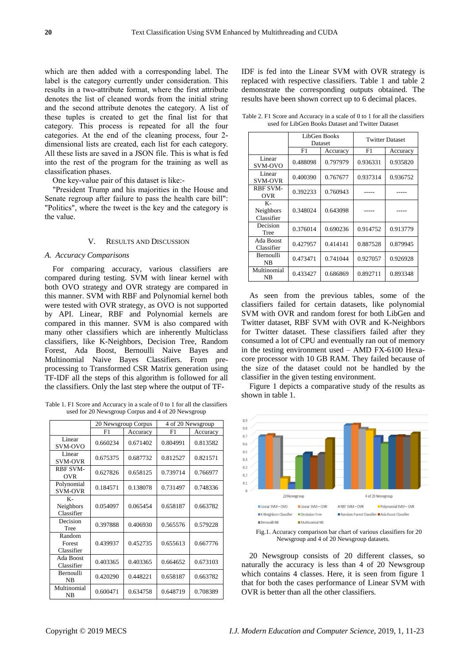which are then added with a corresponding label. The label is the category currently under consideration. This results in a two-attribute format, where the first attribute denotes the list of cleaned words from the initial string and the second attribute denotes the category. A list of these tuples is created to get the final list for that category. This process is repeated for all the four categories. At the end of the cleaning process, four 2 dimensional lists are created, each list for each category. All these lists are saved in a JSON file. This is what is fed into the rest of the program for the training as well as classification phases.

One key-value pair of this dataset is like:-

"President Trump and his majorities in the House and Senate regroup after failure to pass the health care bill": "Politics", where the tweet is the key and the category is the value.

# V. RESULTS AND DISCUSSION

#### *A. Accuracy Comparisons*

For comparing accuracy, various classifiers are compared during testing. SVM with linear kernel with both OVO strategy and OVR strategy are compared in this manner. SVM with RBF and Polynomial kernel both were tested with OVR strategy, as OVO is not supported by API. Linear, RBF and Polynomial kernels are compared in this manner. SVM is also compared with many other classifiers which are inherently Multiclass classifiers, like K-Neighbors, Decision Tree, Random Forest, Ada Boost, Bernoulli Naive Bayes and Multinomial Naive Bayes Classifiers. From preprocessing to Transformed CSR Matrix generation using TF-IDF all the steps of this algorithm is followed for all the classifiers. Only the last step where the output of TF-

Table 1. F1 Score and Accuracy in a scale of 0 to 1 for all the classifiers used for 20 Newsgroup Corpus and 4 of 20 Newsgroup

|                                |          | 20 Newsgroup Corpus | 4 of 20 Newsgroup |          |  |
|--------------------------------|----------|---------------------|-------------------|----------|--|
|                                | F1       | Accuracy            | F1                | Accuracy |  |
| Linear<br>SVM-OVO              | 0.660234 | 0.671402            | 0.804991          | 0.813582 |  |
| Linear<br><b>SVM-OVR</b>       | 0.675375 | 0.687732            | 0.812527          | 0.821571 |  |
| <b>RBF SVM-</b><br><b>OVR</b>  | 0.627826 | 0.658125            | 0.739714          | 0.766977 |  |
| Polynomial<br><b>SVM-OVR</b>   | 0.184571 | 0.138078            | 0.731497          | 0.748336 |  |
| K-<br>Neighbors<br>Classifier  | 0.054097 | 0.065454            | 0.658187          | 0.663782 |  |
| Decision<br>Tree               | 0.397888 | 0.406930            | 0.565576          | 0.579228 |  |
| Random<br>Forest<br>Classifier | 0.439937 | 0.452735            | 0.655613          | 0.667776 |  |
| Ada Boost<br>Classifier        | 0.403365 | 0.403365            | 0.664652          | 0.673103 |  |
| <b>Bernoulli</b><br>NB         | 0.420290 | 0.448221            | 0.658187          | 0.663782 |  |
| Multinomial<br>NB              | 0.600471 | 0.634758            | 0.648719          | 0.708389 |  |

IDF is fed into the Linear SVM with OVR strategy is replaced with respective classifiers. Table 1 and table 2 demonstrate the corresponding outputs obtained. The results have been shown correct up to 6 decimal places.

Table 2. F1 Score and Accuracy in a scale of 0 to 1 for all the classifiers used for LibGen Books Dataset and Twitter Dataset

|                               | LibGen Books<br>Dataset |          | <b>Twitter Dataset</b> |          |  |
|-------------------------------|-------------------------|----------|------------------------|----------|--|
|                               | F1                      | Accuracy | F1                     | Accuracy |  |
| Linear<br>SVM-OVO             | 0.488098                | 0.797979 | 0.936331               | 0.935820 |  |
| Linear<br><b>SVM-OVR</b>      | 0.400390                | 0.767677 | 0.937314               | 0.936752 |  |
| <b>RBF SVM-</b><br><b>OVR</b> | 0.392233                | 0.760943 |                        |          |  |
| K-<br>Neighbors<br>Classifier | 0.348024                | 0.643098 |                        |          |  |
| Decision<br>Tree              | 0.376014                | 0.690236 | 0.914752               | 0.913779 |  |
| Ada Boost<br>Classifier       | 0.427957                | 0.414141 | 0.887528               | 0.879945 |  |
| <b>Bernoulli</b><br>NB        | 0.473471                | 0.741044 | 0.927057               | 0.926928 |  |
| Multinomial<br>ΝB             | 0.433427                | 0.686869 | 0.892711               | 0.893348 |  |

As seen from the previous tables, some of the classifiers failed for certain datasets, like polynomial SVM with OVR and random forest for both LibGen and Twitter dataset, RBF SVM with OVR and K-Neighbors for Twitter dataset. These classifiers failed after they consumed a lot of CPU and eventually ran out of memory in the testing environment used – AMD FX-6100 Hexacore processor with 10 GB RAM. They failed because of the size of the dataset could not be handled by the classifier in the given testing environment.

Figure 1 depicts a comparative study of the results as shown in table 1.



Fig.1. Accuracy comparison bar chart of various classifiers for 20 Newsgroup and 4 of 20 Newsgroup datasets.

20 Newsgroup consists of 20 different classes, so naturally the accuracy is less than 4 of 20 Newsgroup which contains 4 classes. Here, it is seen from figure 1 that for both the cases performance of Linear SVM with OVR is better than all the other classifiers.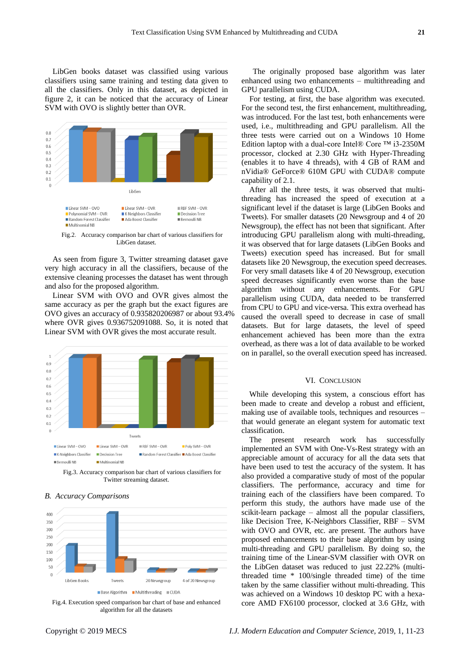LibGen books dataset was classified using various classifiers using same training and testing data given to all the classifiers. Only in this dataset, as depicted in figure 2, it can be noticed that the accuracy of Linear SVM with OVO is slightly better than OVR.



Fig.2. Accuracy comparison bar chart of various classifiers for LibGen dataset.

As seen from figure 3, Twitter streaming dataset gave very high accuracy in all the classifiers, because of the extensive cleaning processes the dataset has went through and also for the proposed algorithm.

Linear SVM with OVO and OVR gives almost the same accuracy as per the graph but the exact figures are OVO gives an accuracy of 0.935820206987 or about 93.4% where OVR gives 0.936752091088. So, it is noted that Linear SVM with OVR gives the most accurate result.



Fig.3. Accuracy comparison bar chart of various classifiers for Twitter streaming dataset.



*B. Accuracy Comparisons*

Fig.4. Execution speed comparison bar chart of base and enhanced algorithm for all the datasets

The originally proposed base algorithm was later enhanced using two enhancements – multithreading and GPU parallelism using CUDA.

For testing, at first, the base algorithm was executed. For the second test, the first enhancement, multithreading, was introduced. For the last test, both enhancements were used, i.e., multithreading and GPU parallelism. All the three tests were carried out on a Windows 10 Home Edition laptop with a dual-core Intel® Core ™ i3-2350M processor, clocked at 2.30 GHz with Hyper-Threading (enables it to have 4 threads), with 4 GB of RAM and nVidia® GeForce® 610M GPU with CUDA® compute capability of 2.1.

After all the three tests, it was observed that multithreading has increased the speed of execution at a significant level if the dataset is large (LibGen Books and Tweets). For smaller datasets (20 Newsgroup and 4 of 20 Newsgroup), the effect has not been that significant. After introducing GPU parallelism along with multi-threading, it was observed that for large datasets (LibGen Books and Tweets) execution speed has increased. But for small datasets like 20 Newsgroup, the execution speed decreases. For very small datasets like 4 of 20 Newsgroup, execution speed decreases significantly even worse than the base algorithm without any enhancements. For GPU parallelism using CUDA, data needed to be transferred from CPU to GPU and vice-versa. This extra overhead has caused the overall speed to decrease in case of small datasets. But for large datasets, the level of speed enhancement achieved has been more than the extra overhead, as there was a lot of data available to be worked on in parallel, so the overall execution speed has increased.

#### VI. CONCLUSION

While developing this system, a conscious effort has been made to create and develop a robust and efficient, making use of available tools, techniques and resources – that would generate an elegant system for automatic text classification.

The present research work has successfully implemented an SVM with One-Vs-Rest strategy with an appreciable amount of accuracy for all the data sets that have been used to test the accuracy of the system. It has also provided a comparative study of most of the popular classifiers. The performance, accuracy and time for training each of the classifiers have been compared. To perform this study, the authors have made use of the scikit-learn package – almost all the popular classifiers, like Decision Tree, K-Neighbors Classifier, RBF – SVM with OVO and OVR, etc. are present. The authors have proposed enhancements to their base algorithm by using multi-threading and GPU parallelism. By doing so, the training time of the Linear-SVM classifier with OVR on the LibGen dataset was reduced to just 22.22% (multithreaded time \* 100/single threaded time) of the time taken by the same classifier without multi-threading. This was achieved on a Windows 10 desktop PC with a hexacore AMD FX6100 processor, clocked at 3.6 GHz, with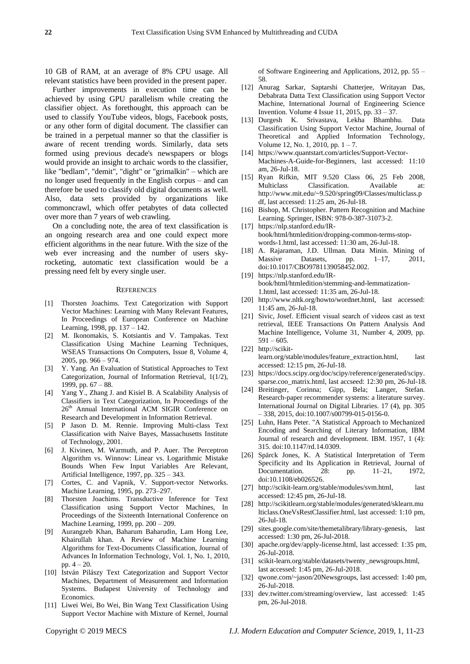10 GB of RAM, at an average of 8% CPU usage. All relevant statistics have been provided in the present paper.

Further improvements in execution time can be achieved by using GPU parallelism while creating the classifier object. As forethought, this approach can be used to classify YouTube videos, blogs, Facebook posts, or any other form of digital document. The classifier can be trained in a perpetual manner so that the classifier is aware of recent trending words. Similarly, data sets formed using previous decade's newspapers or blogs would provide an insight to archaic words to the classifier, like "bedlam", "demit", "dight" or "grimalkin" – which are no longer used frequently in the English corpus – and can therefore be used to classify old digital documents as well. Also, data sets provided by organizations like commoncrawl, which offer petabytes of data collected over more than 7 years of web crawling.

On a concluding note, the area of text classification is an ongoing research area and one could expect more efficient algorithms in the near future. With the size of the web ever increasing and the number of users skyrocketing, automatic text classification would be a pressing need felt by every single user.

#### **REFERENCES**

- [1] Thorsten Joachims. Text Categorization with Support Vector Machines: Learning with Many Relevant Features, In Proceedings of European Conference on Machine Learning, 1998, pp. 137 – 142.
- [2] M. Ikonomakis, S. Kotsiantis and V. Tampakas. Text Classification Using Machine Learning Techniques, WSEAS Transactions On Computers, Issue 8, Volume 4, 2005, pp. 966 – 974.
- [3] Y. Yang. An Evaluation of Statistical Approaches to Text Categorization, Journal of Information Retrieval, 1(1/2), 1999, pp.  $67 - 88$ .
- [4] Yang Y., Zhang J. and Kisiel B. A Scalability Analysis of Classifiers in Text Categorization, In Proceedings of the 26<sup>th</sup> Annual International ACM SIGIR Conference on Research and Development in Information Retrieval.
- [5] P Jason D. M. Rennie. Improving Multi-class Text Classification with Naive Bayes, Massachusetts Institute of Technology, 2001.
- [6] J. Kivinen, M. Warmuth, and P. Auer. The Perceptron Algorithm vs. Winnow: Linear vs. Logarithmic Mistake Bounds When Few Input Variables Are Relevant, Artificial Intelligence, 1997, pp. 325 – 343.
- [7] Cortes, C. and Vapnik, V. Support-vector Networks. Machine Learning, 1995, pp. 273–297.
- [8] Thorsten Joachims. Transductive Inference for Text Classification using Support Vector Machines, In Proceedings of the Sixteenth International Conference on Machine Learning, 1999, pp. 200 – 209.
- [9] Aurangzeb Khan, Baharum Baharudin, Lam Hong Lee, Khairullah khan. A Review of Machine Learning Algorithms for Text-Documents Classification, Journal of Advances In Information Technology, Vol. 1, No. 1, 2010, pp. 4 – 20.
- [10] István Pilászy Text Categorization and Support Vector Machines, Department of Measurement and Information Systems. Budapest University of Technology and Economics.
- [11] Liwei Wei, Bo Wei, Bin Wang Text Classification Using Support Vector Machine with Mixture of Kernel, Journal

of Software Engineering and Applications, 2012, pp. 55 – 58.

- [12] Anurag Sarkar, Saptarshi Chatterjee, Writayan Das, Debabrata Datta Text Classification using Support Vector Machine, International Journal of Engineering Science Invention. Volume 4 Issue 11, 2015, pp. 33 – 37.
- [13] Durgesh K. Srivastava, Lekha Bhambhu. Data Classification Using Support Vector Machine, Journal of Theoretical and Applied Information Technology, Volume 12, No. 1, 2010, pp. 1 – 7.
- [14] https://www.quantstart.com/articles/Support-Vector-Machines-A-Guide-for-Beginners, last accessed: 11:10 am, 26-Jul-18.
- [15] Ryan Rifkin, MIT 9.520 Class 06, 25 Feb 2008, Multiclass Classification. Available at: http://www.mit.edu/~9.520/spring09/Classes/multiclass.p df, last accessed: 11:25 am, 26-Jul-18.
- [16] Bishop, M. Christopher. Pattern Recognition and Machine Learning. Springer, ISBN: 978-0-387-31073-2.
- [17] https://nlp.stanford.edu/IRbook/html/htmledition/dropping-common-terms-stopwords-1.html, last accessed: 11:30 am, 26-Jul-18.
- [18] A. Rajaraman, J.D. Ullman. Data Minin. Mining of Massive Datasets, pp.  $1-17$ , 2011, doi:10.1017/CBO9781139058452.002.
- [19] https://nlp.stanford.edu/IRbook/html/htmledition/stemming-and-lemmatization-1.html, last accessed: 11:35 am, 26-Jul-18.
- [20] http://www.nltk.org/howto/wordnet.html, last accessed: 11:45 am, 26-Jul-18.
- [21] Sivic, Josef. Efficient visual search of videos cast as text retrieval, IEEE Transactions On Pattern Analysis And Machine Intelligence, Volume 31, Number 4, 2009, pp.  $591 - 605$ .
- [22] http://scikitlearn.org/stable/modules/feature\_extraction.html, last accessed: 12:15 pm, 26-Jul-18.
- [23] https://docs.scipy.org/doc/scipy/reference/generated/scipy. sparse.coo\_matrix.html, last accseed: 12:30 pm, 26-Jul-18.
- [24] Breitinger, Corinna; Gipp, Bela; Langer, Stefan. Research-paper recommender systems: a literature survey. International Journal on Digital Libraries. 17 (4), pp. 305 – 338, 2015, doi:10.1007/s00799-015-0156-0.
- [25] Luhn, Hans Peter. "A Statistical Approach to Mechanized Encoding and Searching of Literary Information, IBM Journal of research and development. IBM. 1957, 1 (4): 315. doi:10.1147/rd.14.0309.
- [26] Spärck Jones, K. A Statistical Interpretation of Term Specificity and Its Application in Retrieval, Journal of Documentation. 28: pp. 11–21, 1972, doi:10.1108/eb026526.
- [27] http://scikit-learn.org/stable/modules/svm.html, last accessed: 12:45 pm, 26-Jul-18.
- [28] http://scikitlearn.org/stable/modules/generated/sklearn.mu lticlass.OneVsRestClassifier.html, last accessed: 1:10 pm, 26-Jul-18.
- [29] sites.google.com/site/themetalibrary/library-genesis, last accessed: 1:30 pm, 26-Jul-2018.
- [30] apache.org/dev/apply-license.html, last accessed: 1:35 pm, 26-Jul-2018.
- [31] scikit-learn.org/stable/datasets/twenty\_newsgroups.html, last accessed: 1:45 pm, 26-Jul-2018.
- [32] qwone.com/~jason/20Newsgroups, last accessed: 1:40 pm, 26-Jul-2018.
- [33] dev.twitter.com/streaming/overview, last accessed: 1:45 pm, 26-Jul-2018.